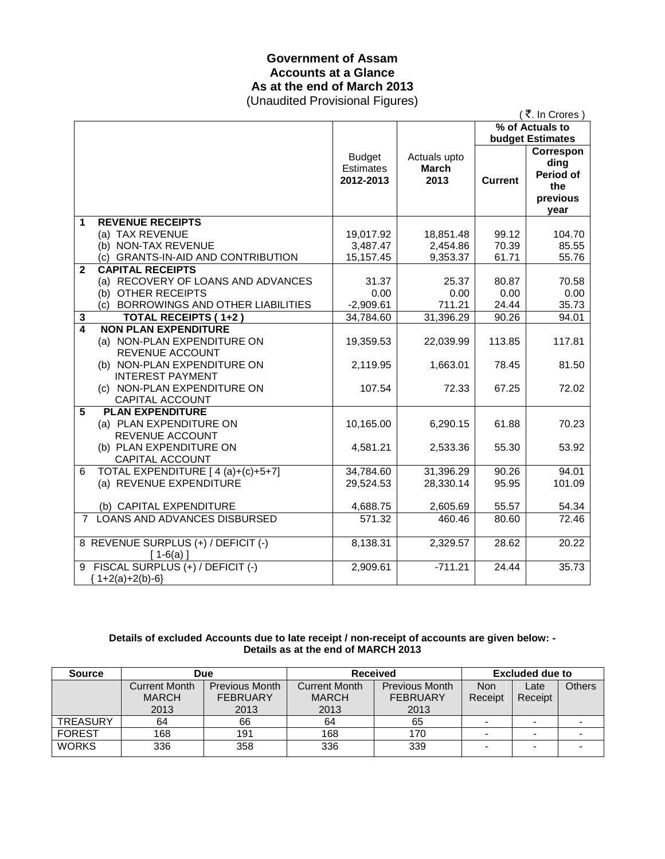## **Government of Assam Accounts at a Glance As at the end of March 2013**  (Unaudited Provisional Figures)

|              | $\frac{1}{2}$                                                                                                |                                                |                                      |                 | (₹. In Crores)                                                   |
|--------------|--------------------------------------------------------------------------------------------------------------|------------------------------------------------|--------------------------------------|-----------------|------------------------------------------------------------------|
|              |                                                                                                              |                                                | % of Actuals to                      |                 |                                                                  |
|              |                                                                                                              |                                                |                                      |                 | budget Estimates                                                 |
|              |                                                                                                              | <b>Budget</b><br><b>Estimates</b><br>2012-2013 | Actuals upto<br><b>March</b><br>2013 | <b>Current</b>  | Correspon<br>ding<br><b>Period of</b><br>the<br>previous<br>year |
| 1            | <b>REVENUE RECEIPTS</b>                                                                                      |                                                |                                      |                 |                                                                  |
|              | (a) TAX REVENUE                                                                                              | 19,017.92                                      | 18,851.48                            | 99.12           | 104.70                                                           |
|              | (b) NON-TAX REVENUE                                                                                          | 3,487.47                                       | 2,454.86                             | 70.39           | 85.55                                                            |
|              | (c) GRANTS-IN-AID AND CONTRIBUTION                                                                           | 15,157.45                                      | 9,353.37                             | 61.71           | 55.76                                                            |
| $\mathbf{2}$ | <b>CAPITAL RECEIPTS</b>                                                                                      |                                                |                                      |                 |                                                                  |
|              | (a) RECOVERY OF LOANS AND ADVANCES                                                                           | 31.37                                          | 25.37                                | 80.87           | 70.58                                                            |
|              | (b) OTHER RECEIPTS                                                                                           | 0.00                                           | 0.00                                 | 0.00            | 0.00                                                             |
|              | (c) BORROWINGS AND OTHER LIABILITIES                                                                         | $-2,909.61$                                    | 711.21                               | 24.44           | 35.73                                                            |
| 3            | <b>TOTAL RECEIPTS (1+2)</b>                                                                                  | 34,784.60                                      | 31,396.29                            | 90.26           | 94.01                                                            |
| 4            | <b>NON PLAN EXPENDITURE</b><br>(a) NON-PLAN EXPENDITURE ON<br>REVENUE ACCOUNT<br>(b) NON-PLAN EXPENDITURE ON | 19,359.53<br>2,119.95                          | 22,039.99<br>1,663.01                | 113.85<br>78.45 | 117.81<br>81.50                                                  |
|              | <b>INTEREST PAYMENT</b><br>(c) NON-PLAN EXPENDITURE ON<br>CAPITAL ACCOUNT                                    | 107.54                                         | 72.33                                | 67.25           | 72.02                                                            |
| 5            | <b>PLAN EXPENDITURE</b><br>(a) PLAN EXPENDITURE ON<br>REVENUE ACCOUNT                                        | 10,165.00                                      | 6,290.15                             | 61.88           | 70.23                                                            |
|              | (b) PLAN EXPENDITURE ON<br>CAPITAL ACCOUNT                                                                   | 4,581.21                                       | 2,533.36                             | 55.30           | 53.92                                                            |
| 6            | TOTAL EXPENDITURE [4(a)+(c)+5+7]<br>(a) REVENUE EXPENDITURE                                                  | 34,784.60<br>29,524.53                         | 31,396.29<br>28,330.14               | 90.26<br>95.95  | 94.01<br>101.09                                                  |
|              | (b) CAPITAL EXPENDITURE                                                                                      | 4,688.75                                       | 2,605.69                             | 55.57           | 54.34                                                            |
| 7            | <b>LOANS AND ADVANCES DISBURSED</b>                                                                          | 571.32                                         | 460.46                               | 80.60           | 72.46                                                            |
|              | 8 REVENUE SURPLUS (+) / DEFICIT (-)<br>$[1-6(a)]$                                                            | 8,138.31                                       | 2,329.57                             | 28.62           | 20.22                                                            |
| 9            | FISCAL SURPLUS (+) / DEFICIT (-)<br>${1+2(a)+2(b)-6}$                                                        | 2,909.61                                       | $-711.21$                            | 24.44           | 35.73                                                            |

### **Details of excluded Accounts due to late receipt / non-receipt of accounts are given below: - Details as at the end of MARCH 2013**

| <b>Source</b>   | Due                  |                       | <b>Received</b>      |                       | <b>Excluded due to</b> |                          |               |
|-----------------|----------------------|-----------------------|----------------------|-----------------------|------------------------|--------------------------|---------------|
|                 | <b>Current Month</b> | <b>Previous Month</b> | <b>Current Month</b> | <b>Previous Month</b> | <b>Non</b>             | Late                     | <b>Others</b> |
|                 | <b>MARCH</b>         | <b>FEBRUARY</b>       | <b>MARCH</b>         | <b>FEBRUARY</b>       | Receipt                | Receipt                  |               |
|                 | 2013                 | 2013                  | 2013                 | 2013                  |                        |                          |               |
| <b>TREASURY</b> | 64                   | 66                    | 64                   | 65                    |                        | $\overline{\phantom{a}}$ |               |
| <b>FOREST</b>   | 168                  | 191                   | 168                  | 170                   |                        | -                        |               |
| <b>WORKS</b>    | 336                  | 358                   | 336                  | 339                   |                        |                          |               |
|                 |                      |                       |                      |                       |                        |                          |               |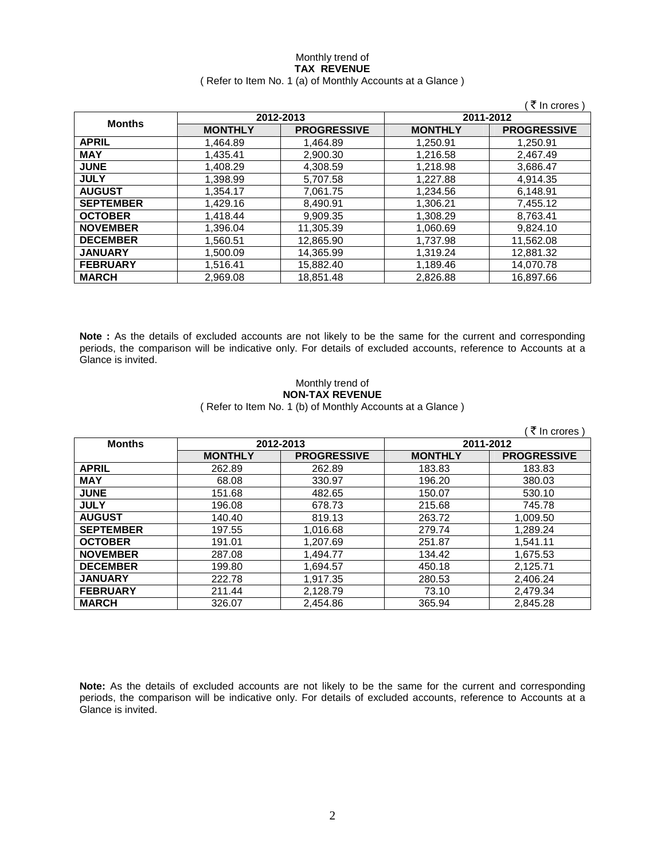### Monthly trend of **TAX REVENUE**  ( Refer to Item No. 1 (a) of Monthly Accounts at a Glance )

|                  |                |                    |                | ₹ In crores )      |
|------------------|----------------|--------------------|----------------|--------------------|
| <b>Months</b>    | 2012-2013      |                    | 2011-2012      |                    |
|                  | <b>MONTHLY</b> | <b>PROGRESSIVE</b> | <b>MONTHLY</b> | <b>PROGRESSIVE</b> |
| <b>APRIL</b>     | 1.464.89       | 1.464.89           | 1.250.91       | 1.250.91           |
| <b>MAY</b>       | 1.435.41       | 2,900.30           | 1,216.58       | 2,467.49           |
| <b>JUNE</b>      | 1,408.29       | 4,308.59           | 1,218.98       | 3,686.47           |
| <b>JULY</b>      | 1,398.99       | 5,707.58           | 1,227.88       | 4.914.35           |
| <b>AUGUST</b>    | 1,354.17       | 7,061.75           | 1,234.56       | 6,148.91           |
| <b>SEPTEMBER</b> | 1,429.16       | 8,490.91           | 1,306.21       | 7,455.12           |
| <b>OCTOBER</b>   | 1,418.44       | 9.909.35           | 1,308.29       | 8.763.41           |
| <b>NOVEMBER</b>  | 1,396.04       | 11,305.39          | 1,060.69       | 9,824.10           |
| <b>DECEMBER</b>  | 1,560.51       | 12,865.90          | 1,737.98       | 11,562.08          |
| <b>JANUARY</b>   | 1.500.09       | 14.365.99          | 1.319.24       | 12.881.32          |
| <b>FEBRUARY</b>  | 1,516.41       | 15,882.40          | 1,189.46       | 14.070.78          |
| <b>MARCH</b>     | 2.969.08       | 18.851.48          | 2.826.88       | 16.897.66          |

**Note :** As the details of excluded accounts are not likely to be the same for the current and corresponding periods, the comparison will be indicative only. For details of excluded accounts, reference to Accounts at a Glance is invited.

## Monthly trend of **NON-TAX REVENUE**

( Refer to Item No. 1 (b) of Monthly Accounts at a Glance )

|                  |                |                    |                | ₹ In crores)       |
|------------------|----------------|--------------------|----------------|--------------------|
| <b>Months</b>    | 2012-2013      |                    |                | 2011-2012          |
|                  | <b>MONTHLY</b> | <b>PROGRESSIVE</b> | <b>MONTHLY</b> | <b>PROGRESSIVE</b> |
| <b>APRIL</b>     | 262.89         | 262.89             | 183.83         | 183.83             |
| <b>MAY</b>       | 68.08          | 330.97             | 196.20         | 380.03             |
| <b>JUNE</b>      | 151.68         | 482.65             | 150.07         | 530.10             |
| <b>JULY</b>      | 196.08         | 678.73             | 215.68         | 745.78             |
| <b>AUGUST</b>    | 140.40         | 819.13             | 263.72         | 1,009.50           |
| <b>SEPTEMBER</b> | 197.55         | 1,016.68           | 279.74         | 1,289.24           |
| <b>OCTOBER</b>   | 191.01         | 1,207.69           | 251.87         | 1,541.11           |
| <b>NOVEMBER</b>  | 287.08         | 1,494.77           | 134.42         | 1,675.53           |
| <b>DECEMBER</b>  | 199.80         | 1,694.57           | 450.18         | 2,125.71           |
| <b>JANUARY</b>   | 222.78         | 1,917.35           | 280.53         | 2,406.24           |
| <b>FEBRUARY</b>  | 211.44         | 2,128.79           | 73.10          | 2,479.34           |
| <b>MARCH</b>     | 326.07         | 2,454.86           | 365.94         | 2.845.28           |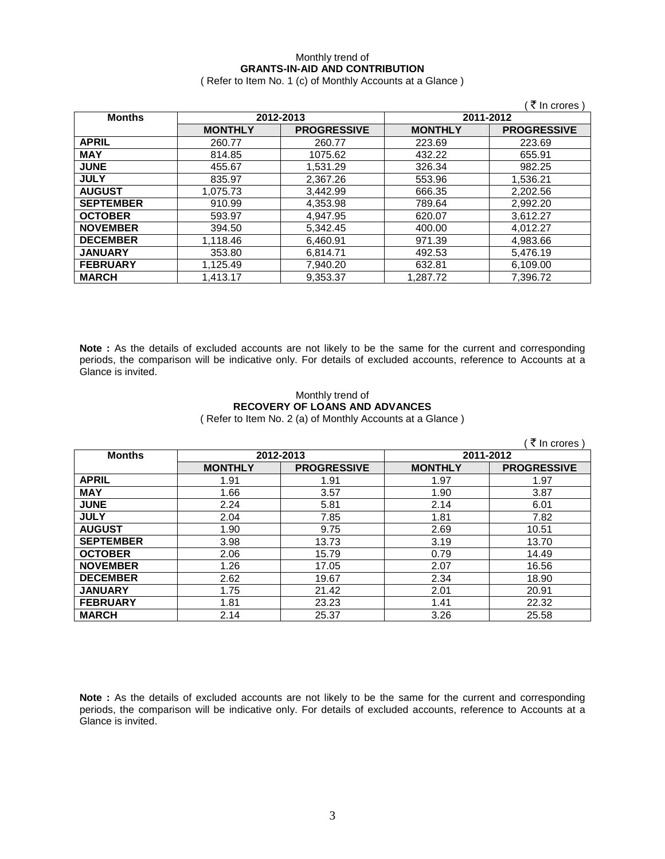## Monthly trend of **GRANTS-IN-AID AND CONTRIBUTION**

( Refer to Item No. 1 (c) of Monthly Accounts at a Glance )

|                  |                |                    |                | ₹ In crores)       |
|------------------|----------------|--------------------|----------------|--------------------|
| <b>Months</b>    |                | 2012-2013          |                | 2011-2012          |
|                  | <b>MONTHLY</b> | <b>PROGRESSIVE</b> | <b>MONTHLY</b> | <b>PROGRESSIVE</b> |
| <b>APRIL</b>     | 260.77         | 260.77             | 223.69         | 223.69             |
| <b>MAY</b>       | 814.85         | 1075.62            | 432.22         | 655.91             |
| <b>JUNE</b>      | 455.67         | 1,531.29           | 326.34         | 982.25             |
| <b>JULY</b>      | 835.97         | 2,367.26           | 553.96         | 1,536.21           |
| <b>AUGUST</b>    | 1.075.73       | 3.442.99           | 666.35         | 2,202.56           |
| <b>SEPTEMBER</b> | 910.99         | 4,353.98           | 789.64         | 2,992.20           |
| <b>OCTOBER</b>   | 593.97         | 4.947.95           | 620.07         | 3,612.27           |
| <b>NOVEMBER</b>  | 394.50         | 5.342.45           | 400.00         | 4.012.27           |
| <b>DECEMBER</b>  | 1,118.46       | 6,460.91           | 971.39         | 4,983.66           |
| <b>JANUARY</b>   | 353.80         | 6,814.71           | 492.53         | 5,476.19           |
| <b>FEBRUARY</b>  | 1.125.49       | 7.940.20           | 632.81         | 6,109.00           |
| <b>MARCH</b>     | 1.413.17       | 9.353.37           | 1.287.72       | 7.396.72           |

**Note :** As the details of excluded accounts are not likely to be the same for the current and corresponding periods, the comparison will be indicative only. For details of excluded accounts, reference to Accounts at a Glance is invited.

### Monthly trend of **RECOVERY OF LOANS AND ADVANCES**  ( Refer to Item No. 2 (a) of Monthly Accounts at a Glance )

|                  |                |                    |                | ₹ In crores )      |
|------------------|----------------|--------------------|----------------|--------------------|
| <b>Months</b>    | 2012-2013      |                    | 2011-2012      |                    |
|                  | <b>MONTHLY</b> | <b>PROGRESSIVE</b> | <b>MONTHLY</b> | <b>PROGRESSIVE</b> |
| <b>APRIL</b>     | 1.91           | 1.91               | 1.97           | 1.97               |
| <b>MAY</b>       | 1.66           | 3.57               | 1.90           | 3.87               |
| <b>JUNE</b>      | 2.24           | 5.81               | 2.14           | 6.01               |
| <b>JULY</b>      | 2.04           | 7.85               | 1.81           | 7.82               |
| <b>AUGUST</b>    | 1.90           | 9.75               | 2.69           | 10.51              |
| <b>SEPTEMBER</b> | 3.98           | 13.73              | 3.19           | 13.70              |
| <b>OCTOBER</b>   | 2.06           | 15.79              | 0.79           | 14.49              |
| <b>NOVEMBER</b>  | 1.26           | 17.05              | 2.07           | 16.56              |
| <b>DECEMBER</b>  | 2.62           | 19.67              | 2.34           | 18.90              |
| <b>JANUARY</b>   | 1.75           | 21.42              | 2.01           | 20.91              |
| <b>FEBRUARY</b>  | 1.81           | 23.23              | 1.41           | 22.32              |
| <b>MARCH</b>     | 2.14           | 25.37              | 3.26           | 25.58              |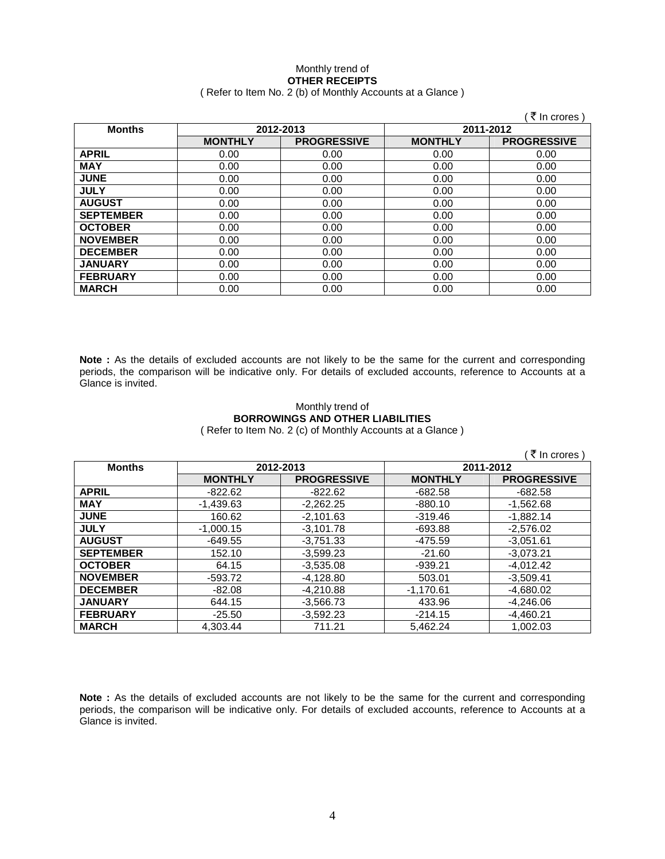### Monthly trend of **OTHER RECEIPTS**  ( Refer to Item No. 2 (b) of Monthly Accounts at a Glance )

|                  |                |                    |                | . ₹ In crores )    |
|------------------|----------------|--------------------|----------------|--------------------|
| <b>Months</b>    |                | 2012-2013          | 2011-2012      |                    |
|                  | <b>MONTHLY</b> | <b>PROGRESSIVE</b> | <b>MONTHLY</b> | <b>PROGRESSIVE</b> |
| <b>APRIL</b>     | 0.00           | 0.00               | 0.00           | 0.00               |
| <b>MAY</b>       | 0.00           | 0.00               | 0.00           | 0.00               |
| <b>JUNE</b>      | 0.00           | 0.00               | 0.00           | 0.00               |
| <b>JULY</b>      | 0.00           | 0.00               | 0.00           | 0.00               |
| <b>AUGUST</b>    | 0.00           | 0.00               | 0.00           | 0.00               |
| <b>SEPTEMBER</b> | 0.00           | 0.00               | 0.00           | 0.00               |
| <b>OCTOBER</b>   | 0.00           | 0.00               | 0.00           | 0.00               |
| <b>NOVEMBER</b>  | 0.00           | 0.00               | 0.00           | 0.00               |
| <b>DECEMBER</b>  | 0.00           | 0.00               | 0.00           | 0.00               |
| <b>JANUARY</b>   | 0.00           | 0.00               | 0.00           | 0.00               |
| <b>FEBRUARY</b>  | 0.00           | 0.00               | 0.00           | 0.00               |
| <b>MARCH</b>     | 0.00           | 0.00               | 0.00           | 0.00               |

**Note :** As the details of excluded accounts are not likely to be the same for the current and corresponding periods, the comparison will be indicative only. For details of excluded accounts, reference to Accounts at a Glance is invited.

### Monthly trend of **BORROWINGS AND OTHER LIABILITIES**  ( Refer to Item No. 2 (c) of Monthly Accounts at a Glance )

|                  |                |                    |                | ₹ In crores)       |
|------------------|----------------|--------------------|----------------|--------------------|
| <b>Months</b>    | 2012-2013      |                    | 2011-2012      |                    |
|                  | <b>MONTHLY</b> | <b>PROGRESSIVE</b> | <b>MONTHLY</b> | <b>PROGRESSIVE</b> |
| <b>APRIL</b>     | -822.62        | $-822.62$          | -682.58        | $-682.58$          |
| <b>MAY</b>       | $-1,439.63$    | $-2,262.25$        | $-880.10$      | $-1,562.68$        |
| <b>JUNE</b>      | 160.62         | $-2.101.63$        | $-319.46$      | $-1.882.14$        |
| <b>JULY</b>      | $-1.000.15$    | $-3.101.78$        | $-693.88$      | $-2,576.02$        |
| <b>AUGUST</b>    | $-649.55$      | $-3.751.33$        | -475.59        | $-3.051.61$        |
| <b>SEPTEMBER</b> | 152.10         | $-3.599.23$        | $-21.60$       | $-3.073.21$        |
| <b>OCTOBER</b>   | 64.15          | $-3.535.08$        | -939.21        | $-4.012.42$        |
| <b>NOVEMBER</b>  | -593.72        | $-4,128.80$        | 503.01         | $-3,509.41$        |
| <b>DECEMBER</b>  | $-82.08$       | $-4,210.88$        | $-1,170.61$    | $-4,680.02$        |
| <b>JANUARY</b>   | 644.15         | $-3,566.73$        | 433.96         | $-4,246.06$        |
| <b>FEBRUARY</b>  | $-25.50$       | $-3.592.23$        | $-214.15$      | $-4,460.21$        |
| <b>MARCH</b>     | 4.303.44       | 711.21             | 5.462.24       | 1,002.03           |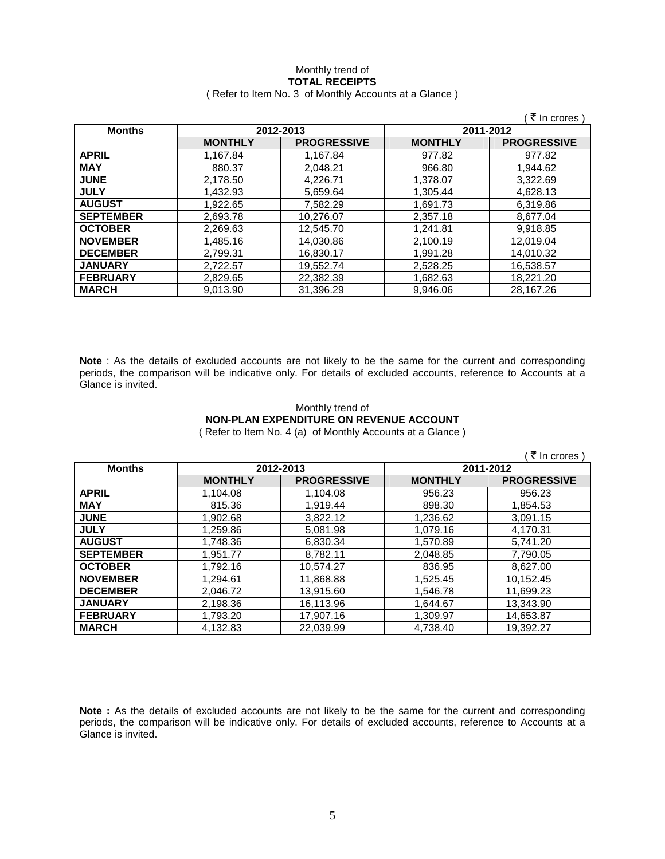### Monthly trend of **TOTAL RECEIPTS**  ( Refer to Item No. 3 of Monthly Accounts at a Glance )

|                  |                |                    |                | ∶ ₹ In crores )    |
|------------------|----------------|--------------------|----------------|--------------------|
| <b>Months</b>    |                | 2012-2013          | 2011-2012      |                    |
|                  | <b>MONTHLY</b> | <b>PROGRESSIVE</b> | <b>MONTHLY</b> | <b>PROGRESSIVE</b> |
| <b>APRIL</b>     | 1.167.84       | 1.167.84           | 977.82         | 977.82             |
| <b>MAY</b>       | 880.37         | 2,048.21           | 966.80         | 1.944.62           |
| <b>JUNE</b>      | 2,178.50       | 4,226.71           | 1.378.07       | 3.322.69           |
| <b>JULY</b>      | 1.432.93       | 5,659.64           | 1.305.44       | 4.628.13           |
| <b>AUGUST</b>    | 1.922.65       | 7.582.29           | 1.691.73       | 6,319.86           |
| <b>SEPTEMBER</b> | 2,693.78       | 10,276.07          | 2,357.18       | 8,677.04           |
| <b>OCTOBER</b>   | 2,269.63       | 12,545.70          | 1,241.81       | 9,918.85           |
| <b>NOVEMBER</b>  | 1.485.16       | 14,030.86          | 2,100.19       | 12.019.04          |
| <b>DECEMBER</b>  | 2.799.31       | 16.830.17          | 1.991.28       | 14.010.32          |
| <b>JANUARY</b>   | 2.722.57       | 19.552.74          | 2.528.25       | 16,538.57          |
| <b>FEBRUARY</b>  | 2,829.65       | 22,382.39          | 1,682.63       | 18,221.20          |
| <b>MARCH</b>     | 9.013.90       | 31.396.29          | 9.946.06       | 28.167.26          |

**Note** : As the details of excluded accounts are not likely to be the same for the current and corresponding periods, the comparison will be indicative only. For details of excluded accounts, reference to Accounts at a Glance is invited.

### Monthly trend of **NON-PLAN EXPENDITURE ON REVENUE ACCOUNT**  ( Refer to Item No. 4 (a) of Monthly Accounts at a Glance )

|                  |                |                    |                | ₹ In crores )      |
|------------------|----------------|--------------------|----------------|--------------------|
| <b>Months</b>    | 2012-2013      |                    | 2011-2012      |                    |
|                  | <b>MONTHLY</b> | <b>PROGRESSIVE</b> | <b>MONTHLY</b> | <b>PROGRESSIVE</b> |
| <b>APRIL</b>     | 1,104.08       | 1,104.08           | 956.23         | 956.23             |
| <b>MAY</b>       | 815.36         | 1,919.44           | 898.30         | 1,854.53           |
| <b>JUNE</b>      | 1,902.68       | 3,822.12           | 1,236.62       | 3,091.15           |
| <b>JULY</b>      | 1,259.86       | 5,081.98           | 1,079.16       | 4,170.31           |
| <b>AUGUST</b>    | 1,748.36       | 6,830.34           | 1,570.89       | 5,741.20           |
| <b>SEPTEMBER</b> | 1.951.77       | 8,782.11           | 2,048.85       | 7,790.05           |
| <b>OCTOBER</b>   | 1.792.16       | 10.574.27          | 836.95         | 8.627.00           |
| <b>NOVEMBER</b>  | 1.294.61       | 11,868.88          | 1,525.45       | 10.152.45          |
| <b>DECEMBER</b>  | 2,046.72       | 13,915.60          | 1,546.78       | 11,699.23          |
| <b>JANUARY</b>   | 2,198.36       | 16,113.96          | 1,644.67       | 13,343.90          |
| <b>FEBRUARY</b>  | 1,793.20       | 17.907.16          | 1.309.97       | 14,653.87          |
| <b>MARCH</b>     | 4.132.83       | 22.039.99          | 4.738.40       | 19.392.27          |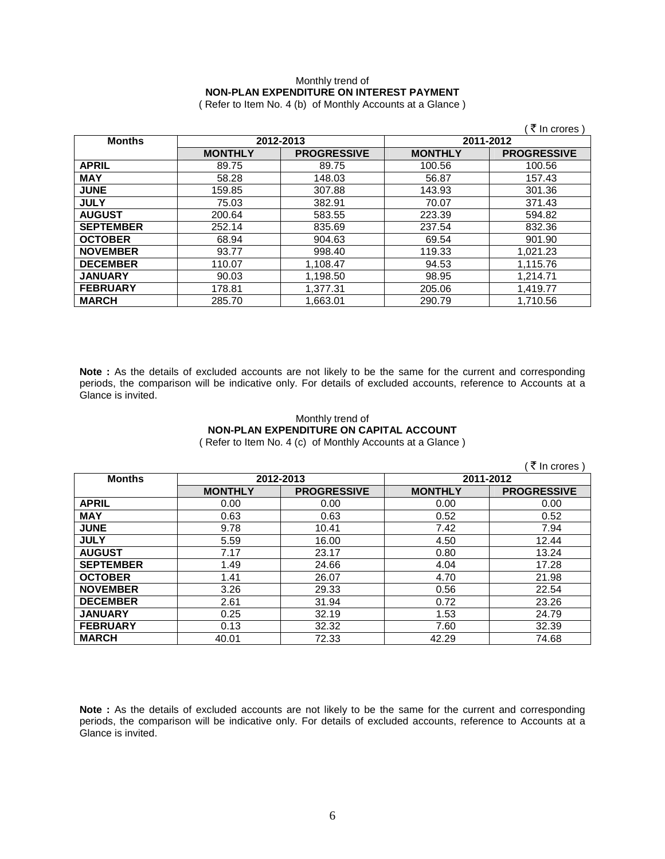# Monthly trend of **NON-PLAN EXPENDITURE ON INTEREST PAYMENT**

( Refer to Item No. 4 (b) of Monthly Accounts at a Glance )

|                            |                |                    |                | ₹ In crores )      |
|----------------------------|----------------|--------------------|----------------|--------------------|
| 2012-2013<br><b>Months</b> |                | 2011-2012          |                |                    |
|                            | <b>MONTHLY</b> | <b>PROGRESSIVE</b> | <b>MONTHLY</b> | <b>PROGRESSIVE</b> |
| <b>APRIL</b>               | 89.75          | 89.75              | 100.56         | 100.56             |
| <b>MAY</b>                 | 58.28          | 148.03             | 56.87          | 157.43             |
| <b>JUNE</b>                | 159.85         | 307.88             | 143.93         | 301.36             |
| <b>JULY</b>                | 75.03          | 382.91             | 70.07          | 371.43             |
| <b>AUGUST</b>              | 200.64         | 583.55             | 223.39         | 594.82             |
| <b>SEPTEMBER</b>           | 252.14         | 835.69             | 237.54         | 832.36             |
| <b>OCTOBER</b>             | 68.94          | 904.63             | 69.54          | 901.90             |
| <b>NOVEMBER</b>            | 93.77          | 998.40             | 119.33         | 1,021.23           |
| <b>DECEMBER</b>            | 110.07         | 1,108.47           | 94.53          | 1,115.76           |
| <b>JANUARY</b>             | 90.03          | 1,198.50           | 98.95          | 1,214.71           |
| <b>FEBRUARY</b>            | 178.81         | 1,377.31           | 205.06         | 1,419.77           |
| <b>MARCH</b>               | 285.70         | 1.663.01           | 290.79         | 1.710.56           |

**Note :** As the details of excluded accounts are not likely to be the same for the current and corresponding periods, the comparison will be indicative only. For details of excluded accounts, reference to Accounts at a Glance is invited.

## Monthly trend of **NON-PLAN EXPENDITURE ON CAPITAL ACCOUNT**

( Refer to Item No. 4 (c) of Monthly Accounts at a Glance )

|                  |                |                    |                | ₹ In crores)       |
|------------------|----------------|--------------------|----------------|--------------------|
| <b>Months</b>    |                | 2012-2013          | 2011-2012      |                    |
|                  | <b>MONTHLY</b> | <b>PROGRESSIVE</b> | <b>MONTHLY</b> | <b>PROGRESSIVE</b> |
| <b>APRIL</b>     | 0.00           | 0.00               | 0.00           | 0.00               |
| <b>MAY</b>       | 0.63           | 0.63               | 0.52           | 0.52               |
| <b>JUNE</b>      | 9.78           | 10.41              | 7.42           | 7.94               |
| <b>JULY</b>      | 5.59           | 16.00              | 4.50           | 12.44              |
| <b>AUGUST</b>    | 7.17           | 23.17              | 0.80           | 13.24              |
| <b>SEPTEMBER</b> | 1.49           | 24.66              | 4.04           | 17.28              |
| <b>OCTOBER</b>   | 1.41           | 26.07              | 4.70           | 21.98              |
| <b>NOVEMBER</b>  | 3.26           | 29.33              | 0.56           | 22.54              |
| <b>DECEMBER</b>  | 2.61           | 31.94              | 0.72           | 23.26              |
| <b>JANUARY</b>   | 0.25           | 32.19              | 1.53           | 24.79              |
| <b>FEBRUARY</b>  | 0.13           | 32.32              | 7.60           | 32.39              |
| <b>MARCH</b>     | 40.01          | 72.33              | 42.29          | 74.68              |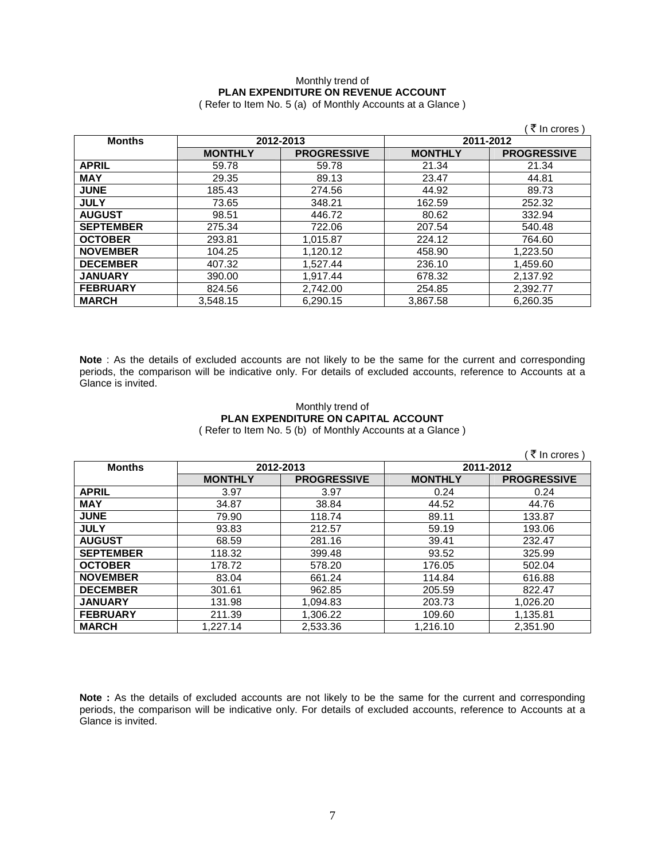# Monthly trend of **PLAN EXPENDITURE ON REVENUE ACCOUNT**

( Refer to Item No. 5 (a) of Monthly Accounts at a Glance )

|                  |                        |                    |                | ₹ In crores )      |
|------------------|------------------------|--------------------|----------------|--------------------|
| <b>Months</b>    | 2012-2013<br>2011-2012 |                    |                |                    |
|                  | <b>MONTHLY</b>         | <b>PROGRESSIVE</b> | <b>MONTHLY</b> | <b>PROGRESSIVE</b> |
| <b>APRIL</b>     | 59.78                  | 59.78              | 21.34          | 21.34              |
| <b>MAY</b>       | 29.35                  | 89.13              | 23.47          | 44.81              |
| <b>JUNE</b>      | 185.43                 | 274.56             | 44.92          | 89.73              |
| <b>JULY</b>      | 73.65                  | 348.21             | 162.59         | 252.32             |
| <b>AUGUST</b>    | 98.51                  | 446.72             | 80.62          | 332.94             |
| <b>SEPTEMBER</b> | 275.34                 | 722.06             | 207.54         | 540.48             |
| <b>OCTOBER</b>   | 293.81                 | 1,015.87           | 224.12         | 764.60             |
| <b>NOVEMBER</b>  | 104.25                 | 1,120.12           | 458.90         | 1,223.50           |
| <b>DECEMBER</b>  | 407.32                 | 1,527.44           | 236.10         | 1,459.60           |
| <b>JANUARY</b>   | 390.00                 | 1,917.44           | 678.32         | 2,137.92           |
| <b>FEBRUARY</b>  | 824.56                 | 2,742.00           | 254.85         | 2,392.77           |
| <b>MARCH</b>     | 3.548.15               | 6.290.15           | 3.867.58       | 6,260.35           |

**Note** : As the details of excluded accounts are not likely to be the same for the current and corresponding periods, the comparison will be indicative only. For details of excluded accounts, reference to Accounts at a Glance is invited.

### Monthly trend of **PLAN EXPENDITURE ON CAPITAL ACCOUNT**  ( Refer to Item No. 5 (b) of Monthly Accounts at a Glance )

|                  |                |                    |                | ₹ In crores        |
|------------------|----------------|--------------------|----------------|--------------------|
| <b>Months</b>    | 2012-2013      |                    | 2011-2012      |                    |
|                  | <b>MONTHLY</b> | <b>PROGRESSIVE</b> | <b>MONTHLY</b> | <b>PROGRESSIVE</b> |
| <b>APRIL</b>     | 3.97           | 3.97               | 0.24           | 0.24               |
| <b>MAY</b>       | 34.87          | 38.84              | 44.52          | 44.76              |
| <b>JUNE</b>      | 79.90          | 118.74             | 89.11          | 133.87             |
| <b>JULY</b>      | 93.83          | 212.57             | 59.19          | 193.06             |
| <b>AUGUST</b>    | 68.59          | 281.16             | 39.41          | 232.47             |
| <b>SEPTEMBER</b> | 118.32         | 399.48             | 93.52          | 325.99             |
| <b>OCTOBER</b>   | 178.72         | 578.20             | 176.05         | 502.04             |
| <b>NOVEMBER</b>  | 83.04          | 661.24             | 114.84         | 616.88             |
| <b>DECEMBER</b>  | 301.61         | 962.85             | 205.59         | 822.47             |
| <b>JANUARY</b>   | 131.98         | 1,094.83           | 203.73         | 1,026.20           |
| <b>FEBRUARY</b>  | 211.39         | 1,306.22           | 109.60         | 1,135.81           |
| <b>MARCH</b>     | 1,227.14       | 2,533.36           | 1,216.10       | 2,351.90           |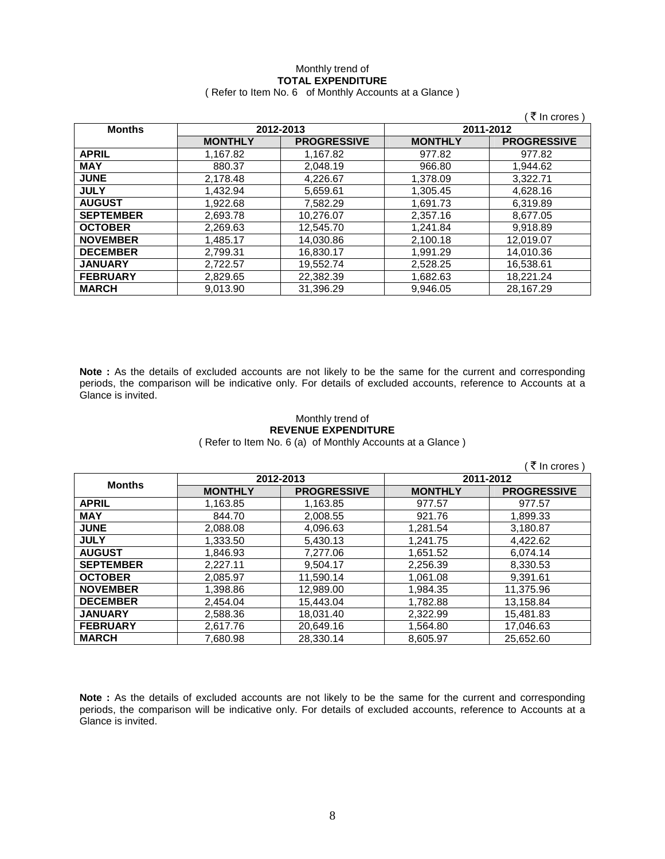### Monthly trend of **TOTAL EXPENDITURE**  ( Refer to Item No. 6 of Monthly Accounts at a Glance )

|                  |                |                    |                | ₹ In crores)       |
|------------------|----------------|--------------------|----------------|--------------------|
| <b>Months</b>    | 2012-2013      |                    | 2011-2012      |                    |
|                  | <b>MONTHLY</b> | <b>PROGRESSIVE</b> | <b>MONTHLY</b> | <b>PROGRESSIVE</b> |
| <b>APRIL</b>     | 1,167.82       | 1.167.82           | 977.82         | 977.82             |
| <b>MAY</b>       | 880.37         | 2.048.19           | 966.80         | 1,944.62           |
| <b>JUNE</b>      | 2,178.48       | 4,226.67           | 1,378.09       | 3.322.71           |
| <b>JULY</b>      | 1.432.94       | 5,659.61           | 1,305.45       | 4,628.16           |
| <b>AUGUST</b>    | 1,922.68       | 7,582.29           | 1,691.73       | 6,319.89           |
| <b>SEPTEMBER</b> | 2,693.78       | 10,276.07          | 2.357.16       | 8.677.05           |
| <b>OCTOBER</b>   | 2,269.63       | 12,545.70          | 1,241.84       | 9.918.89           |
| <b>NOVEMBER</b>  | 1.485.17       | 14,030.86          | 2,100.18       | 12.019.07          |
| <b>DECEMBER</b>  | 2,799.31       | 16,830.17          | 1.991.29       | 14.010.36          |
| <b>JANUARY</b>   | 2.722.57       | 19.552.74          | 2.528.25       | 16.538.61          |
| <b>FEBRUARY</b>  | 2,829.65       | 22,382.39          | 1,682.63       | 18,221.24          |
| <b>MARCH</b>     | 9.013.90       | 31.396.29          | 9.946.05       | 28.167.29          |

**Note :** As the details of excluded accounts are not likely to be the same for the current and corresponding periods, the comparison will be indicative only. For details of excluded accounts, reference to Accounts at a Glance is invited.

### Monthly trend of **REVENUE EXPENDITURE**

( Refer to Item No. 6 (a) of Monthly Accounts at a Glance )

|                  |                |                    |                | ₹ In crores)       |
|------------------|----------------|--------------------|----------------|--------------------|
|                  | 2012-2013      |                    |                | 2011-2012          |
| <b>Months</b>    | <b>MONTHLY</b> | <b>PROGRESSIVE</b> | <b>MONTHLY</b> | <b>PROGRESSIVE</b> |
| <b>APRIL</b>     | 1,163.85       | 1,163.85           | 977.57         | 977.57             |
| <b>MAY</b>       | 844.70         | 2,008.55           | 921.76         | 1,899.33           |
| <b>JUNE</b>      | 2,088.08       | 4,096.63           | 1.281.54       | 3,180.87           |
| <b>JULY</b>      | 1.333.50       | 5.430.13           | 1.241.75       | 4.422.62           |
| <b>AUGUST</b>    | 1.846.93       | 7,277.06           | 1.651.52       | 6.074.14           |
| <b>SEPTEMBER</b> | 2.227.11       | 9.504.17           | 2.256.39       | 8.330.53           |
| <b>OCTOBER</b>   | 2.085.97       | 11.590.14          | 1.061.08       | 9.391.61           |
| <b>NOVEMBER</b>  | 1,398.86       | 12,989.00          | 1.984.35       | 11.375.96          |
| <b>DECEMBER</b>  | 2.454.04       | 15.443.04          | 1.782.88       | 13,158.84          |
| <b>JANUARY</b>   | 2,588.36       | 18,031.40          | 2,322.99       | 15,481.83          |
| <b>FEBRUARY</b>  | 2.617.76       | 20,649.16          | 1,564.80       | 17,046.63          |
| <b>MARCH</b>     | 7.680.98       | 28.330.14          | 8.605.97       | 25.652.60          |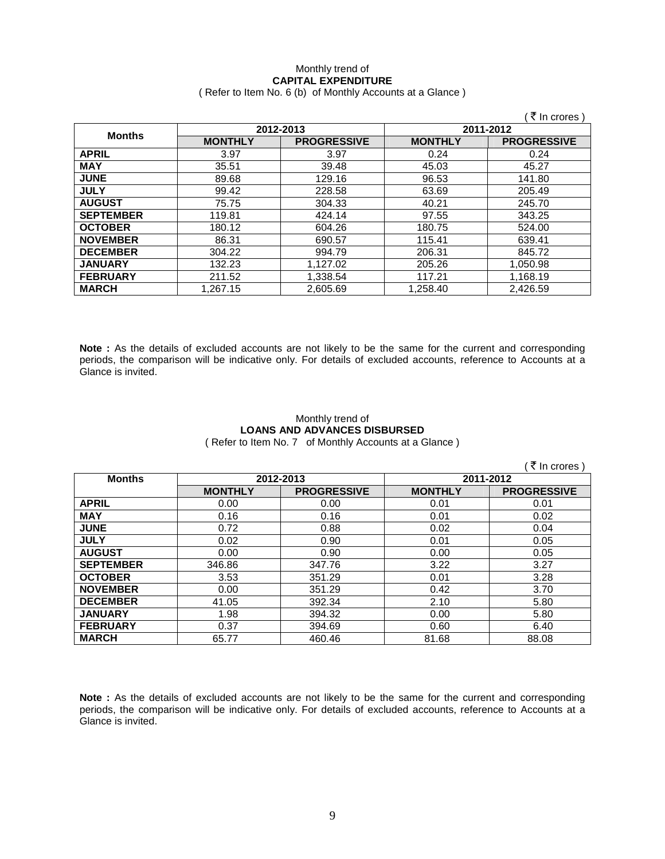### Monthly trend of **CAPITAL EXPENDITURE**  ( Refer to Item No. 6 (b) of Monthly Accounts at a Glance )

|                  |                |                    |                | ₹ In crores)       |
|------------------|----------------|--------------------|----------------|--------------------|
| <b>Months</b>    | 2012-2013      |                    | 2011-2012      |                    |
|                  | <b>MONTHLY</b> | <b>PROGRESSIVE</b> | <b>MONTHLY</b> | <b>PROGRESSIVE</b> |
| <b>APRIL</b>     | 3.97           | 3.97               | 0.24           | 0.24               |
| <b>MAY</b>       | 35.51          | 39.48              | 45.03          | 45.27              |
| <b>JUNE</b>      | 89.68          | 129.16             | 96.53          | 141.80             |
| <b>JULY</b>      | 99.42          | 228.58             | 63.69          | 205.49             |
| <b>AUGUST</b>    | 75.75          | 304.33             | 40.21          | 245.70             |
| <b>SEPTEMBER</b> | 119.81         | 424.14             | 97.55          | 343.25             |
| <b>OCTOBER</b>   | 180.12         | 604.26             | 180.75         | 524.00             |
| <b>NOVEMBER</b>  | 86.31          | 690.57             | 115.41         | 639.41             |
| <b>DECEMBER</b>  | 304.22         | 994.79             | 206.31         | 845.72             |
| <b>JANUARY</b>   | 132.23         | 1,127.02           | 205.26         | 1,050.98           |
| <b>FEBRUARY</b>  | 211.52         | 1,338.54           | 117.21         | 1,168.19           |
| <b>MARCH</b>     | 1.267.15       | 2.605.69           | 1.258.40       | 2,426.59           |

**Note :** As the details of excluded accounts are not likely to be the same for the current and corresponding periods, the comparison will be indicative only. For details of excluded accounts, reference to Accounts at a Glance is invited.

## Monthly trend of **LOANS AND ADVANCES DISBURSED**

( Refer to Item No. 7 of Monthly Accounts at a Glance )

|                  |                |                    |                | ₹ In crores )      |
|------------------|----------------|--------------------|----------------|--------------------|
| <b>Months</b>    | 2012-2013      |                    | 2011-2012      |                    |
|                  | <b>MONTHLY</b> | <b>PROGRESSIVE</b> | <b>MONTHLY</b> | <b>PROGRESSIVE</b> |
| <b>APRIL</b>     | 0.00           | 0.00               | 0.01           | 0.01               |
| <b>MAY</b>       | 0.16           | 0.16               | 0.01           | 0.02               |
| <b>JUNE</b>      | 0.72           | 0.88               | 0.02           | 0.04               |
| <b>JULY</b>      | 0.02           | 0.90               | 0.01           | 0.05               |
| <b>AUGUST</b>    | 0.00           | 0.90               | 0.00           | 0.05               |
| <b>SEPTEMBER</b> | 346.86         | 347.76             | 3.22           | 3.27               |
| <b>OCTOBER</b>   | 3.53           | 351.29             | 0.01           | 3.28               |
| <b>NOVEMBER</b>  | 0.00           | 351.29             | 0.42           | 3.70               |
| <b>DECEMBER</b>  | 41.05          | 392.34             | 2.10           | 5.80               |
| <b>JANUARY</b>   | 1.98           | 394.32             | 0.00           | 5.80               |
| <b>FEBRUARY</b>  | 0.37           | 394.69             | 0.60           | 6.40               |
| <b>MARCH</b>     | 65.77          | 460.46             | 81.68          | 88.08              |